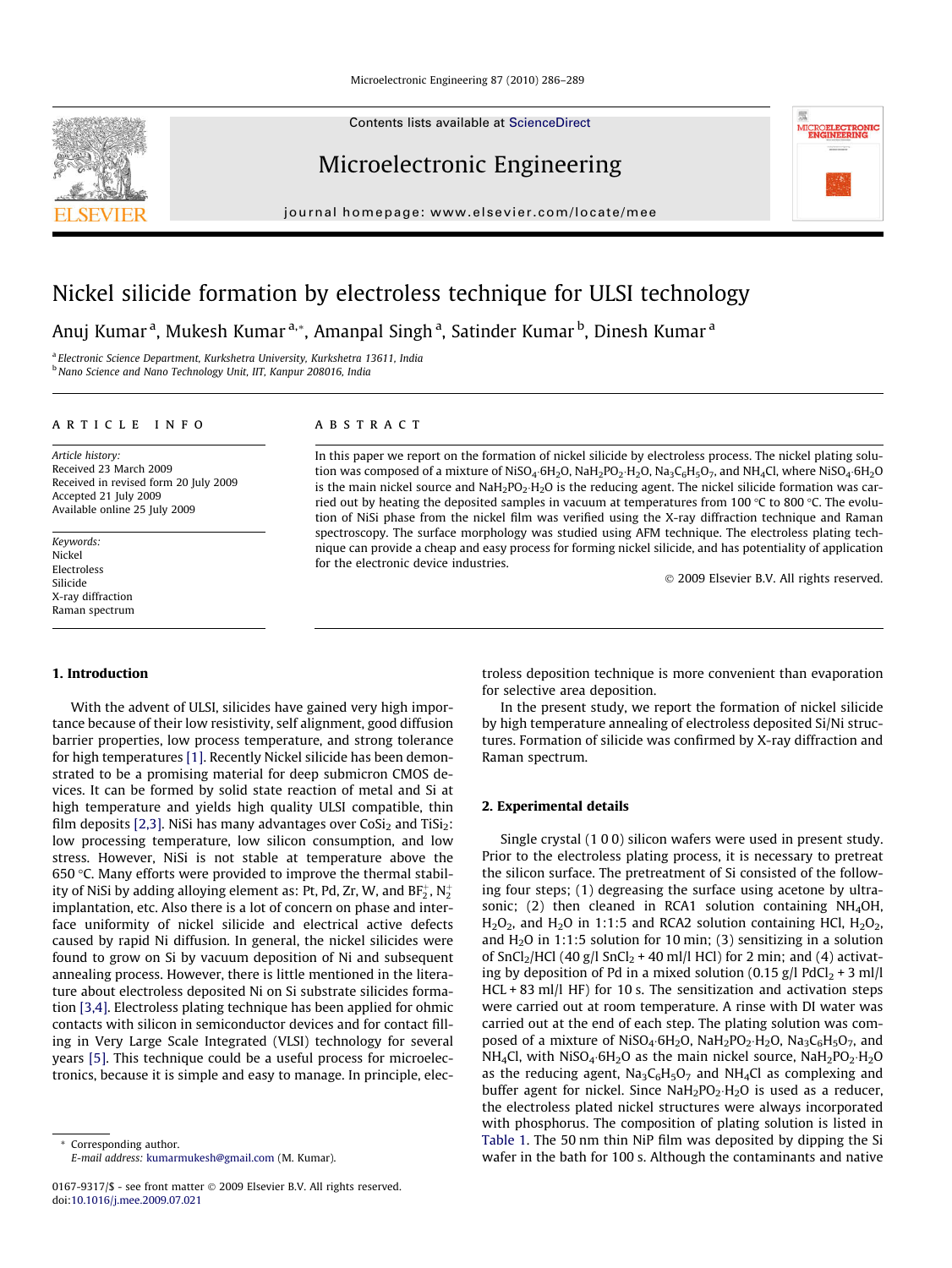Contents lists available at [ScienceDirect](http://www.sciencedirect.com/science/journal/01679317)

# Microelectronic Engineering

journal homepage: [www.elsevier.com/locate/mee](http://www.elsevier.com/locate/mee)

# Nickel silicide formation by electroless technique for ULSI technology

for the electronic device industries.

Anuj Kumar<sup>a</sup>, Mukesh Kumar<sup>a,</sup>\*, Amanpal Singh<sup>a</sup>, Satinder Kumar<sup>b</sup>, Dinesh Kumar<sup>a</sup>

**ABSTRACT** 

<sup>a</sup> Electronic Science Department, Kurkshetra University, Kurkshetra 13611, India <sup>b</sup> Nano Science and Nano Technology Unit, IIT, Kanpur 208016, India

# article info

Article history: Received 23 March 2009 Received in revised form 20 July 2009 Accepted 21 July 2009 Available online 25 July 2009

Keywords: Nickel Electroless Silicide X-ray diffraction Raman spectrum

# 1. Introduction

With the advent of ULSI, silicides have gained very high importance because of their low resistivity, self alignment, good diffusion barrier properties, low process temperature, and strong tolerance for high temperatures [\[1\]](#page-3-0). Recently Nickel silicide has been demonstrated to be a promising material for deep submicron CMOS devices. It can be formed by solid state reaction of metal and Si at high temperature and yields high quality ULSI compatible, thin film deposits [\[2,3\]](#page-3-0). NiSi has many advantages over  $CoSi<sub>2</sub>$  and TiSi<sub>2</sub>: low processing temperature, low silicon consumption, and low stress. However, NiSi is not stable at temperature above the 650 °C. Many efforts were provided to improve the thermal stability of NiSi by adding alloying element as: Pt, Pd, Zr, W, and BF $_2^{\scriptscriptstyle +}$ , N $_2^{\scriptscriptstyle +}$ implantation, etc. Also there is a lot of concern on phase and interface uniformity of nickel silicide and electrical active defects caused by rapid Ni diffusion. In general, the nickel silicides were found to grow on Si by vacuum deposition of Ni and subsequent annealing process. However, there is little mentioned in the literature about electroless deposited Ni on Si substrate silicides formation [\[3,4\]](#page-3-0). Electroless plating technique has been applied for ohmic contacts with silicon in semiconductor devices and for contact filling in Very Large Scale Integrated (VLSI) technology for several years [\[5\]](#page-3-0). This technique could be a useful process for microelectronics, because it is simple and easy to manage. In principle, elec-

\* Corresponding author. E-mail address: [kumarmukesh@gmail.com](mailto:kumarmukesh@gmail.com) (M. Kumar). troless deposition technique is more convenient than evaporation for selective area deposition.

2009 Elsevier B.V. All rights reserved.

In the present study, we report the formation of nickel silicide by high temperature annealing of electroless deposited Si/Ni structures. Formation of silicide was confirmed by X-ray diffraction and Raman spectrum.

## 2. Experimental details

In this paper we report on the formation of nickel silicide by electroless process. The nickel plating solution was composed of a mixture of NiSO<sub>4</sub>·6H<sub>2</sub>O, NaH<sub>2</sub>PO<sub>2</sub>·H<sub>2</sub>O, Na<sub>3</sub>C<sub>6</sub>H<sub>5</sub>O<sub>7</sub>, and NH<sub>4</sub>Cl, where NiSO<sub>4</sub>·6H<sub>2</sub>O is the main nickel source and NaH<sub>2</sub>PO<sub>2</sub>·H<sub>2</sub>O is the reducing agent. The nickel silicide formation was carried out by heating the deposited samples in vacuum at temperatures from 100 °C to 800 °C. The evolution of NiSi phase from the nickel film was verified using the X-ray diffraction technique and Raman spectroscopy. The surface morphology was studied using AFM technique. The electroless plating technique can provide a cheap and easy process for forming nickel silicide, and has potentiality of application

> Single crystal (1 0 0) silicon wafers were used in present study. Prior to the electroless plating process, it is necessary to pretreat the silicon surface. The pretreatment of Si consisted of the following four steps; (1) degreasing the surface using acetone by ultrasonic; (2) then cleaned in RCA1 solution containing  $NH<sub>4</sub>OH$ ,  $H<sub>2</sub>O<sub>2</sub>$ , and  $H<sub>2</sub>O$  in 1:1:5 and RCA2 solution containing HCl,  $H<sub>2</sub>O<sub>2</sub>$ , and  $H<sub>2</sub>O$  in 1:1:5 solution for 10 min; (3) sensitizing in a solution of SnCl<sub>2</sub>/HCl (40 g/l SnCl<sub>2</sub> + 40 ml/l HCl) for 2 min; and (4) activating by deposition of Pd in a mixed solution (0.15 g/l PdCl<sub>2</sub> + 3 ml/l HCL + 83 ml/l HF) for 10 s. The sensitization and activation steps were carried out at room temperature. A rinse with DI water was carried out at the end of each step. The plating solution was composed of a mixture of  $Niso_4.6H_2O$ ,  $Naf_2PO_2.H_2O$ ,  $Na_3C_6H_5O_7$ , and  $NH_4$ Cl, with NiSO<sub>4</sub> $\cdot$ 6H<sub>2</sub>O as the main nickel source, NaH<sub>2</sub>PO<sub>2</sub> $\cdot$ H<sub>2</sub>O as the reducing agent,  $Na_3C_6H_5O_7$  and  $NH_4Cl$  as complexing and buffer agent for nickel. Since  $\text{NaH}_2\text{PO}_2 \cdot \text{H}_2\text{O}$  is used as a reducer, the electroless plated nickel structures were always incorporated with phosphorus. The composition of plating solution is listed in [Table 1.](#page-1-0) The 50 nm thin NiP film was deposited by dipping the Si wafer in the bath for 100 s. Although the contaminants and native



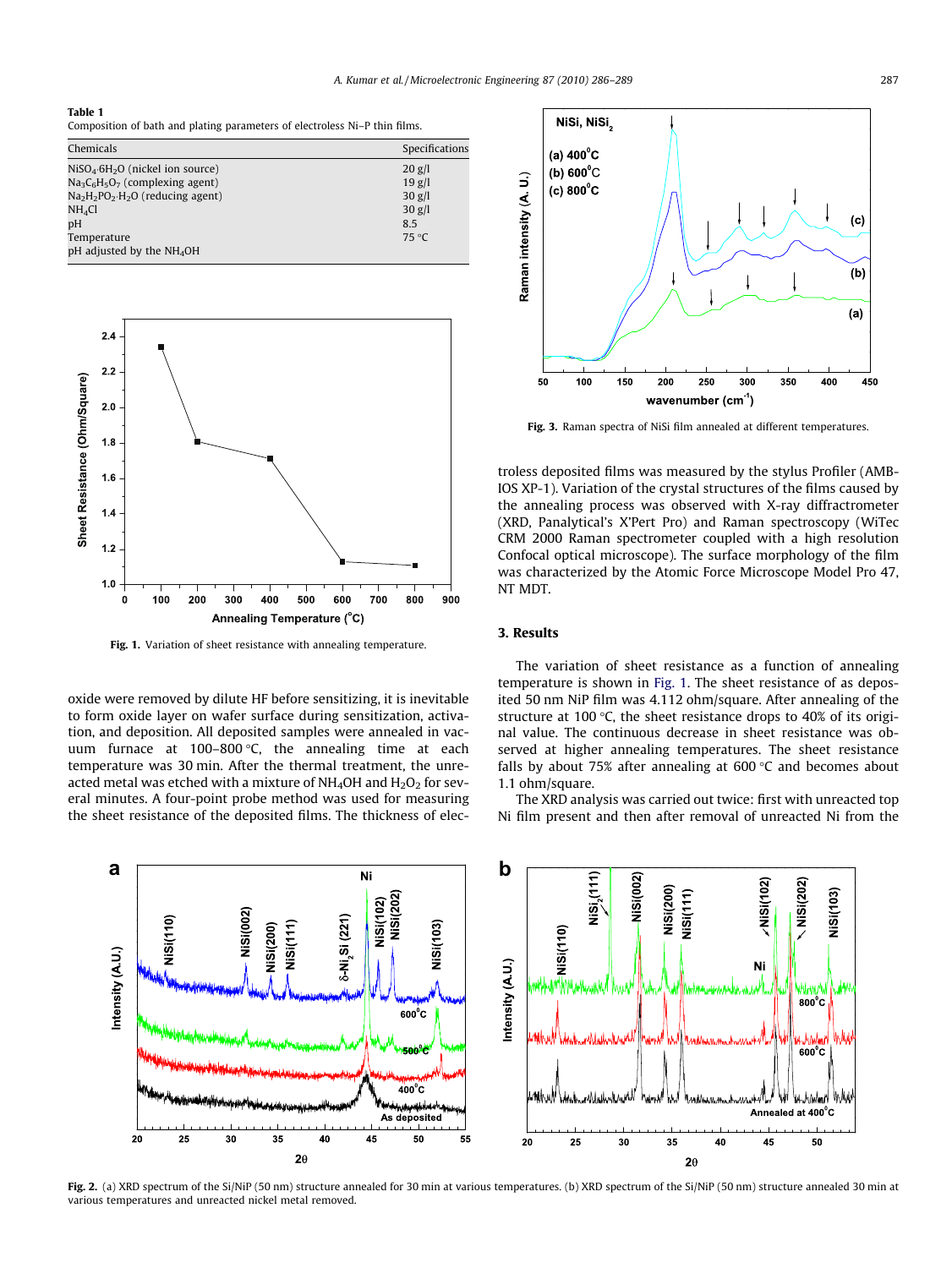#### <span id="page-1-0"></span>Table 1

Composition of bath and plating parameters of electroless Ni–P thin films.

| Chemicals                                | Specifications |
|------------------------------------------|----------------|
| $NiSO_4 \cdot 6H_2O$ (nickel ion source) | $20$ g/l       |
| $Na3C6H5O7$ (complexing agent)           | $19$ g/l       |
| $Na2H2PO2·H2O$ (reducing agent)          | $30$ g/l       |
| NH <sub>4</sub> Cl                       | $30$ g/l       |
| pH                                       | 8.5            |
| Temperature                              | 75 °C          |
| pH adjusted by the NH <sub>4</sub> OH    |                |



Fig. 1. Variation of sheet resistance with annealing temperature.

oxide were removed by dilute HF before sensitizing, it is inevitable to form oxide layer on wafer surface during sensitization, activation, and deposition. All deposited samples were annealed in vacuum furnace at 100–800 °C, the annealing time at each temperature was 30 min. After the thermal treatment, the unreacted metal was etched with a mixture of  $NH<sub>4</sub>OH$  and  $H<sub>2</sub>O<sub>2</sub>$  for several minutes. A four-point probe method was used for measuring the sheet resistance of the deposited films. The thickness of elec-



Fig. 3. Raman spectra of NiSi film annealed at different temperatures.

troless deposited films was measured by the stylus Profiler (AMB-IOS XP-1). Variation of the crystal structures of the films caused by the annealing process was observed with X-ray diffractrometer (XRD, Panalytical's X'Pert Pro) and Raman spectroscopy (WiTec CRM 2000 Raman spectrometer coupled with a high resolution Confocal optical microscope). The surface morphology of the film was characterized by the Atomic Force Microscope Model Pro 47, NT MDT.

# 3. Results

The variation of sheet resistance as a function of annealing temperature is shown in Fig. 1. The sheet resistance of as deposited 50 nm NiP film was 4.112 ohm/square. After annealing of the structure at 100  $\degree$ C, the sheet resistance drops to 40% of its original value. The continuous decrease in sheet resistance was observed at higher annealing temperatures. The sheet resistance falls by about 75% after annealing at 600  $\degree$ C and becomes about 1.1 ohm/square.

The XRD analysis was carried out twice: first with unreacted top Ni film present and then after removal of unreacted Ni from the



Fig. 2. (a) XRD spectrum of the Si/NiP (50 nm) structure annealed for 30 min at various temperatures. (b) XRD spectrum of the Si/NiP (50 nm) structure annealed 30 min at various temperatures and unreacted nickel metal removed.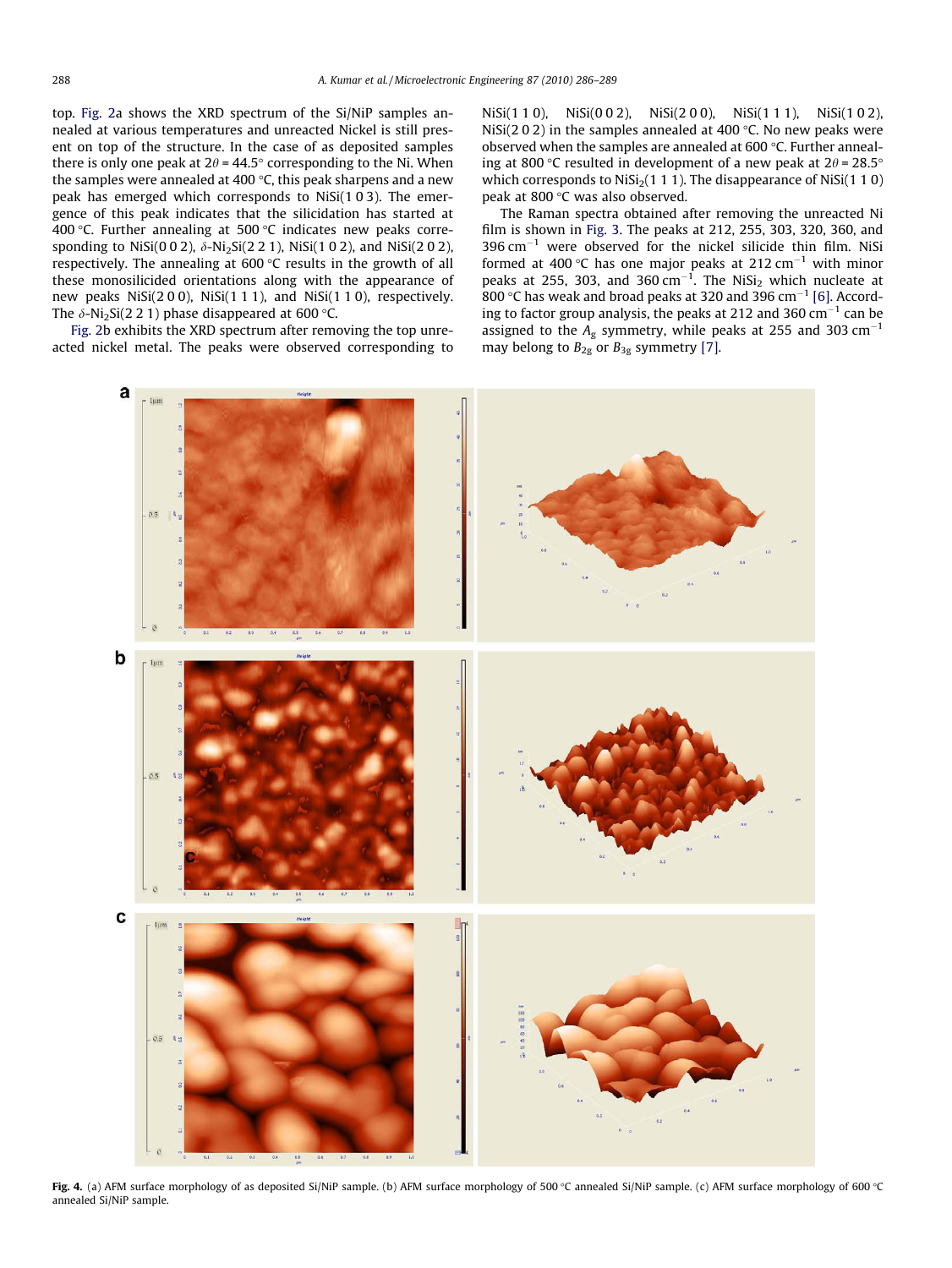<span id="page-2-0"></span>top. [Fig. 2](#page-1-0)a shows the XRD spectrum of the Si/NiP samples annealed at various temperatures and unreacted Nickel is still present on top of the structure. In the case of as deposited samples there is only one peak at 2 $\theta$  = 44.5° corresponding to the Ni. When the samples were annealed at 400 °C, this peak sharpens and a new peak has emerged which corresponds to NiSi(1 0 3). The emergence of this peak indicates that the silicidation has started at 400 °C. Further annealing at 500 °C indicates new peaks corresponding to NiSi(0 0 2),  $\delta$ -Ni<sub>2</sub>Si(2 2 1), NiSi(1 0 2), and NiSi(2 0 2), respectively. The annealing at 600 °C results in the growth of all these monosilicided orientations along with the appearance of new peaks NiSi(2 0 0), NiSi(1 1 1), and NiSi(1 1 0), respectively. The  $\delta$ -Ni $_2$ Si(2 2 1) phase disappeared at 600 °C.

[Fig. 2](#page-1-0)b exhibits the XRD spectrum after removing the top unreacted nickel metal. The peaks were observed corresponding to NiSi(1 1 0), NiSi(0 0 2), NiSi(2 0 0), NiSi(1 1 1), NiSi(1 0 2), NiSi(2 0 2) in the samples annealed at 400  $\degree$ C. No new peaks were observed when the samples are annealed at 600  $\degree$ C. Further annealing at 800 °C resulted in development of a new peak at  $2\theta$  = 28.5° which corresponds to  $Nisi<sub>2</sub>(1 1 1)$ . The disappearance of  $Nisi(1 1 0)$ peak at 800 °C was also observed.

The Raman spectra obtained after removing the unreacted Ni film is shown in [Fig. 3.](#page-1-0) The peaks at 212, 255, 303, 320, 360, and  $396 \text{ cm}^{-1}$  were observed for the nickel silicide thin film. NiSi formed at 400 °C has one major peaks at 212  $cm^{-1}$  with minor peaks at 255, 303, and 360  $cm^{-1}$ . The NiSi<sub>2</sub> which nucleate at 800 °C has weak and broad peaks at 320 and 396  $cm^{-1}$  [\[6\]](#page-3-0). According to factor group analysis, the peaks at 212 and 360  $cm^{-1}$  can be assigned to the  $A_g$  symmetry, while peaks at 255 and 303 cm<sup>-1</sup> may belong to  $B_{2g}$  or  $B_{3g}$  symmetry [\[7\].](#page-3-0)



Fig. 4. (a) AFM surface morphology of as deposited Si/NiP sample. (b) AFM surface morphology of 500 °C annealed Si/NiP sample. (c) AFM surface morphology of 600 °C annealed Si/NiP sample.